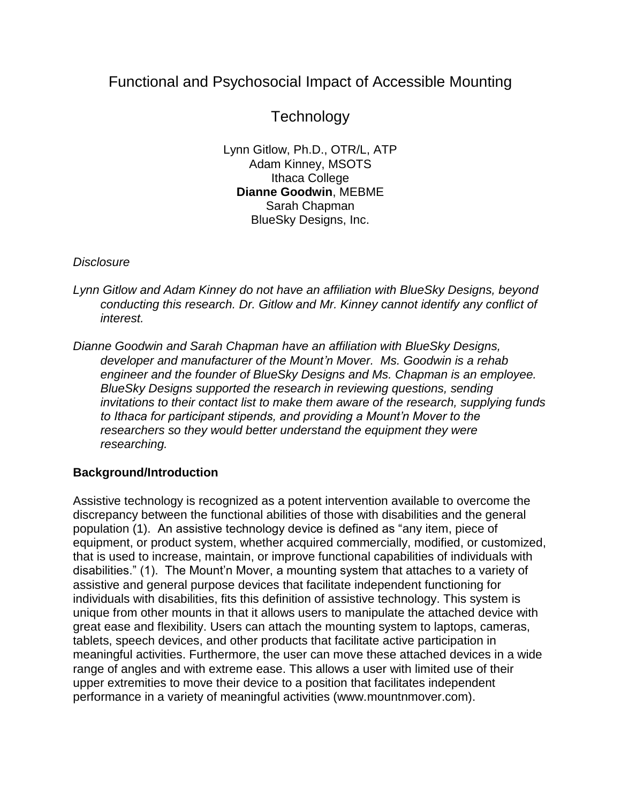## Functional and Psychosocial Impact of Accessible Mounting

# **Technology**

Lynn Gitlow, Ph.D., OTR/L, ATP Adam Kinney, MSOTS Ithaca College **Dianne Goodwin**, MEBME Sarah Chapman BlueSky Designs, Inc.

## *Disclosure*

- *Lynn Gitlow and Adam Kinney do not have an affiliation with BlueSky Designs, beyond conducting this research. Dr. Gitlow and Mr. Kinney cannot identify any conflict of interest.*
- *Dianne Goodwin and Sarah Chapman have an affiliation with BlueSky Designs, developer and manufacturer of the Mount'n Mover. Ms. Goodwin is a rehab engineer and the founder of BlueSky Designs and Ms. Chapman is an employee. BlueSky Designs supported the research in reviewing questions, sending invitations to their contact list to make them aware of the research, supplying funds to Ithaca for participant stipends, and providing a Mount'n Mover to the researchers so they would better understand the equipment they were researching.*

## **Background/Introduction**

Assistive technology is recognized as a potent intervention available to overcome the discrepancy between the functional abilities of those with disabilities and the general population (1). An assistive technology device is defined as "any item, piece of equipment, or product system, whether acquired commercially, modified, or customized, that is used to increase, maintain, or improve functional capabilities of individuals with disabilities." (1). The Mount'n Mover, a mounting system that attaches to a variety of assistive and general purpose devices that facilitate independent functioning for individuals with disabilities, fits this definition of assistive technology. This system is unique from other mounts in that it allows users to manipulate the attached device with great ease and flexibility. Users can attach the mounting system to laptops, cameras, tablets, speech devices, and other products that facilitate active participation in meaningful activities. Furthermore, the user can move these attached devices in a wide range of angles and with extreme ease. This allows a user with limited use of their upper extremities to move their device to a position that facilitates independent performance in a variety of meaningful activities (www.mountnmover.com).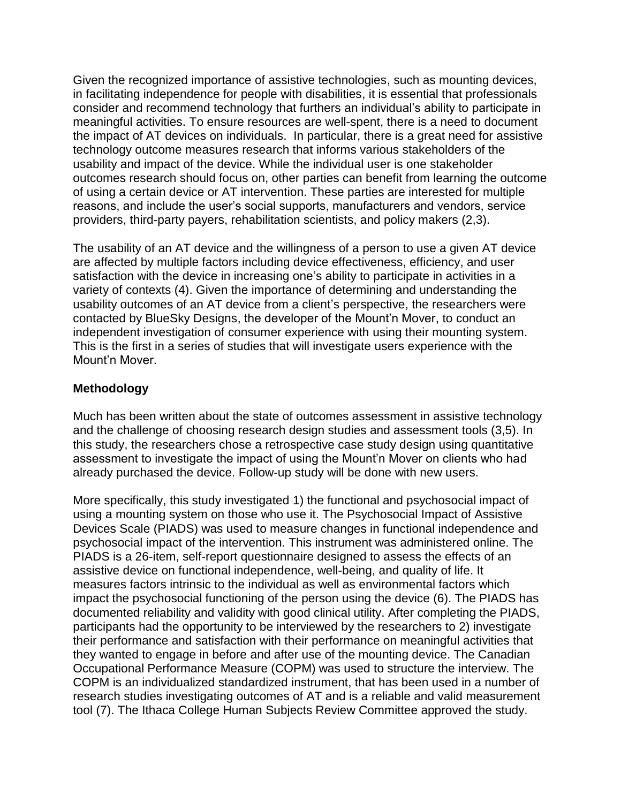Given the recognized importance of assistive technologies, such as mounting devices, in facilitating independence for people with disabilities, it is essential that professionals consider and recommend technology that furthers an individual's ability to participate in meaningful activities. To ensure resources are well-spent, there is a need to document the impact of AT devices on individuals. In particular, there is a great need for assistive technology outcome measures research that informs various stakeholders of the usability and impact of the device. While the individual user is one stakeholder outcomes research should focus on, other parties can benefit from learning the outcome of using a certain device or AT intervention. These parties are interested for multiple reasons, and include the user's social supports, manufacturers and vendors, service providers, third-party payers, rehabilitation scientists, and policy makers (2,3).

The usability of an AT device and the willingness of a person to use a given AT device are affected by multiple factors including device effectiveness, efficiency, and user satisfaction with the device in increasing one's ability to participate in activities in a variety of contexts (4). Given the importance of determining and understanding the usability outcomes of an AT device from a client's perspective, the researchers were contacted by BlueSky Designs, the developer of the Mount'n Mover, to conduct an independent investigation of consumer experience with using their mounting system. This is the first in a series of studies that will investigate users experience with the Mount'n Mover.

#### **Methodology**

Much has been written about the state of outcomes assessment in assistive technology and the challenge of choosing research design studies and assessment tools (3,5). In this study, the researchers chose a retrospective case study design using quantitative assessment to investigate the impact of using the Mount'n Mover on clients who had already purchased the device. Follow-up study will be done with new users.

More specifically, this study investigated 1) the functional and psychosocial impact of using a mounting system on those who use it. The Psychosocial Impact of Assistive Devices Scale (PIADS) was used to measure changes in functional independence and psychosocial impact of the intervention. This instrument was administered online. The PIADS is a 26-item, self-report questionnaire designed to assess the effects of an assistive device on functional independence, well-being, and quality of life. It measures factors intrinsic to the individual as well as environmental factors which impact the psychosocial functioning of the person using the device (6). The PIADS has documented reliability and validity with good clinical utility. After completing the PIADS, participants had the opportunity to be interviewed by the researchers to 2) investigate their performance and satisfaction with their performance on meaningful activities that they wanted to engage in before and after use of the mounting device. The Canadian Occupational Performance Measure (COPM) was used to structure the interview. The COPM is an individualized standardized instrument, that has been used in a number of research studies investigating outcomes of AT and is a reliable and valid measurement tool (7). The Ithaca College Human Subjects Review Committee approved the study.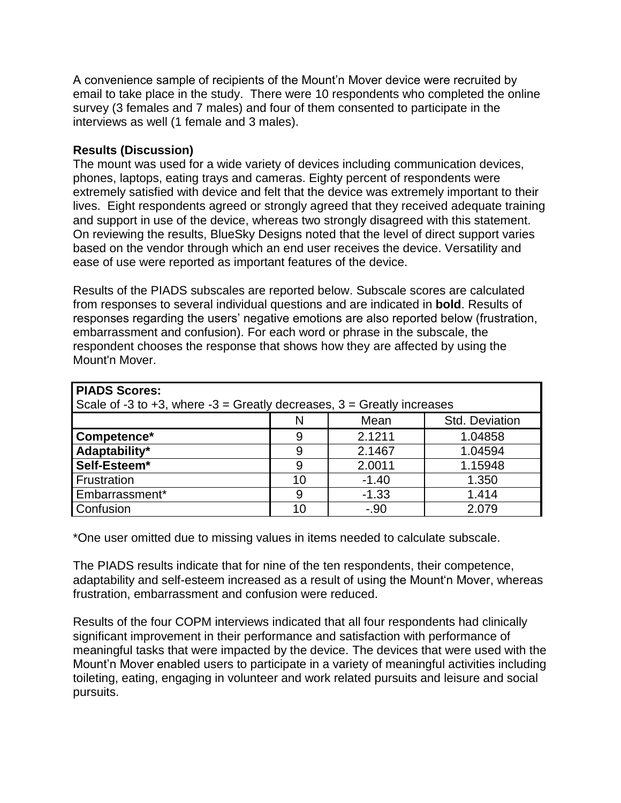A convenience sample of recipients of the Mount'n Mover device were recruited by email to take place in the study. There were 10 respondents who completed the online survey (3 females and 7 males) and four of them consented to participate in the interviews as well (1 female and 3 males).

#### **Results (Discussion)**

The mount was used for a wide variety of devices including communication devices, phones, laptops, eating trays and cameras. Eighty percent of respondents were extremely satisfied with device and felt that the device was extremely important to their lives. Eight respondents agreed or strongly agreed that they received adequate training and support in use of the device, whereas two strongly disagreed with this statement. On reviewing the results, BlueSky Designs noted that the level of direct support varies based on the vendor through which an end user receives the device. Versatility and ease of use were reported as important features of the device.

Results of the PIADS subscales are reported below. Subscale scores are calculated from responses to several individual questions and are indicated in **bold**. Results of responses regarding the users' negative emotions are also reported below (frustration, embarrassment and confusion). For each word or phrase in the subscale, the respondent chooses the response that shows how they are affected by using the Mount'n Mover.

| <b>PIADS Scores:</b>                                                     |    |         |                |
|--------------------------------------------------------------------------|----|---------|----------------|
| Scale of -3 to +3, where -3 = Greatly decreases, $3$ = Greatly increases |    |         |                |
|                                                                          | N  | Mean    | Std. Deviation |
| Competence*                                                              |    | 2.1211  | 1.04858        |
| Adaptability*                                                            | 9  | 2.1467  | 1.04594        |
| Self-Esteem*                                                             | 9  | 2.0011  | 1.15948        |
| <b>Frustration</b>                                                       | 10 | $-1.40$ | 1.350          |
| Embarrassment*                                                           | 9  | $-1.33$ | 1.414          |
| Confusion                                                                | 10 | $-.90$  | 2.079          |

\*One user omitted due to missing values in items needed to calculate subscale.

The PIADS results indicate that for nine of the ten respondents, their competence, adaptability and self-esteem increased as a result of using the Mount'n Mover, whereas frustration, embarrassment and confusion were reduced.

Results of the four COPM interviews indicated that all four respondents had clinically significant improvement in their performance and satisfaction with performance of meaningful tasks that were impacted by the device. The devices that were used with the Mount'n Mover enabled users to participate in a variety of meaningful activities including toileting, eating, engaging in volunteer and work related pursuits and leisure and social pursuits.